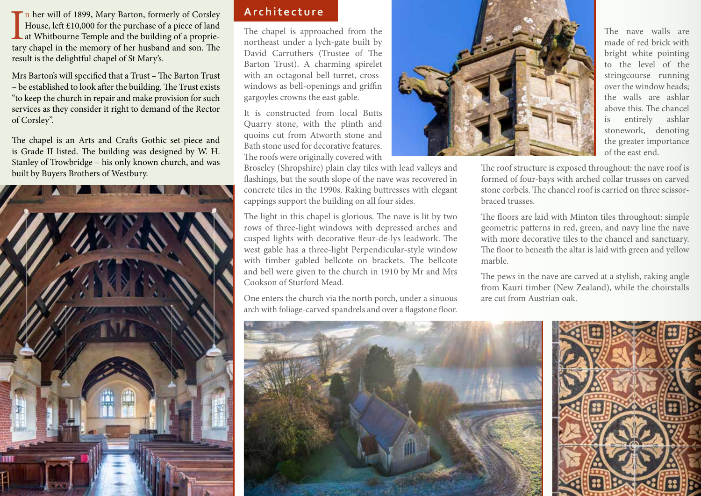In her will of 1899, Mary Barton, formerly of Corsley<br>House, left £10,000 for the purchase of a piece of land<br>at Whitbourne Temple and the building of a proprie-<br>tary chapel in the memory of her husband and son. The n her will of 1899, Mary Barton, formerly of Corsley House, left £10,000 for the purchase of a piece of land at Whitbourne Temple and the building of a proprieresult is the delightful chapel of St Mary's.

Mrs Barton's will specified that a Trust – The Barton Trust – be established to look after the building. The Trust exists "to keep the church in repair and make provision for such services as they consider it right to demand of the Rector of Corsley".

The chapel is an Arts and Crafts Gothic set-piece and is Grade II listed. The building was designed by W. H. Stanley of Trowbridge – his only known church, and was built by Buyers Brothers of Westbury.



## **Architecture**

The chapel is approached from the northeast under a lych-gate built by David Carruthers (Trustee of The Barton Trust). A charming spirelet with an octagonal bell-turret, crosswindows as bell-openings and griffin gargoyles crowns the east gable.

It is constructed from local Butts Quarry stone, with the plinth and quoins cut from Atworth stone and Bath stone used for decorative features. The roofs were originally covered with

Broseley (Shropshire) plain clay tiles with lead valleys and flashings, but the south slope of the nave was recovered in concrete tiles in the 1990s. Raking buttresses with elegant cappings support the building on all four sides.

The light in this chapel is glorious. The nave is lit by two rows of three-light windows with depressed arches and cusped lights with decorative fleur-de-lys leadwork. The west gable has a three-light Perpendicular-style window with timber gabled bellcote on brackets. The bellcote and bell were given to the church in 1910 by Mr and Mrs Cookson of Sturford Mead.

One enters the church via the north porch, under a sinuous arch with foliage-carved spandrels and over a flagstone floor.



The nave walls are made of red brick with bright white pointing to the level of the stringcourse running over the window heads; the walls are ashlar above this. The chancel is entirely ashlar stonework, denoting the greater importance of the east end.

The roof structure is exposed throughout: the nave roof is formed of four-bays with arched collar trusses on carved stone corbels. The chancel roof is carried on three scissorbraced trusses.

The floors are laid with Minton tiles throughout: simple geometric patterns in red, green, and navy line the nave with more decorative tiles to the chancel and sanctuary. The floor to beneath the altar is laid with green and yellow marble.

The pews in the nave are carved at a stylish, raking angle from Kauri timber (New Zealand), while the choirstalls are cut from Austrian oak.